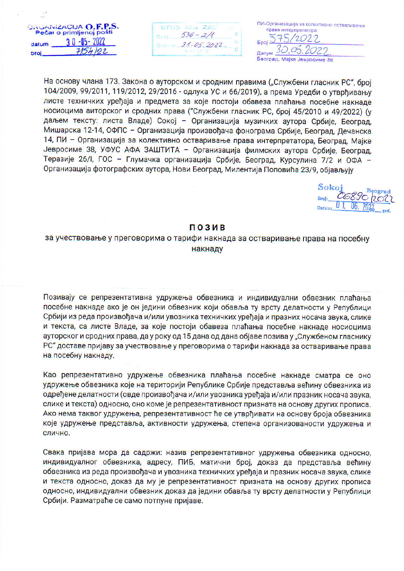|       | <b>ORGANIZACIJA O.F.P.S.</b><br>Pečat o primljenoj pošti |
|-------|----------------------------------------------------------|
| datum | $30 - 15 - 2022$                                         |
| broi  | 7154122                                                  |

| FIIS        |  |
|-------------|--|
|             |  |
| 31.05.2022. |  |
|             |  |

| ПИ-Организација за колективно остваривање |  |
|-------------------------------------------|--|
| права интерпретатора                      |  |
| <b>Epo</b>                                |  |
| Датум                                     |  |
| Београд, Мејке Јевросиме 38               |  |

На основу члана 173. Закона о ауторском и сродним правима ("Службени гласник РС", број 104/2009, 99/2011, 119/2012, 29/2016 - одлука УС и 66/2019), а према Уредби о утврђивању листе техничких уређаја и предмета за које постоји обавеза плаћања посебне накнаде носиоцима аиторског и сродних права ("Службени гласник РС, број 45/2010 и 49/2022) (у даљем тексту: листа Владе) Сокој - Организација музичких аутора Србије, Београд, Мишарска 12-14, ОФПС - Организација произвођача фонограма Србије, Београд, Дечанска 14, ПИ - Организација за колективно остваривање права интерпретатора, Београд, Мајке Јевросиме 38, УФУС АФА ЗАШТИТА - Организација филмских аутора Србије, Београд, Теразије 26/I, ГОС - Глумачка организација Србије, Београд, Курсулина 7/2 и ОФА -Организација фотографских аутора, Нови Београд, Милентија Поповића 23/9, објављују

Sokoj Broj: C6890 ROC  $06.$ 

## ПОЗИВ

## за учествовање у преговорима о тарифи накнада за остваривање права на посебну накнаду

Позивају се репрезентативна удружења обвезника и индивидуални обвезник плаћања посебне накнаде ако је он једини обвезник који обавља ту врсту делатности у Републици Србији из реда произвођача и/или увозника техничких уређаја и празних носача звука, слике и текста, са листе Владе, за које постоји обавеза плаћања посебне накнаде носиоцима ауторског и сродних права, да у року од 15 дана од дана објаве позива у "Службеном гласнику РС" доставе пријаву за учествовање у преговорима о тарифи накнада за остваривање права на посебну накнаду.

Као репрезентативно удружење обвезника плаћања посебне накнаде сматра се оно удружење обвезника које на територији Републике Србије представља већину обвезника из одређене делатности (овде произвођача и/или увозника уређаја и/или празник носача звука, слике и текста) односно, оно коме је репрезентативност призната на основу других прописа. Ако нема таквог удружења, репрезентативност ће се утврђивати на основу броја обвезника које удружење представља, активности удружења, степена организованости удружења и слично.

Свака пријава мора да садржи: назив репрезентативног удружења обвезника односно, индивидуалног обвезника, адресу, ПИБ, матични број, доказ да представља већину обвезника из реда произвођача и увозника техничких уређаја и празник носача звука, слике и текста односно, доказ да му је репрезентативност призната на основу других прописа односно, индивидуални обвезник доказ да једини обавља ту врсту делатности у Републици Србији. Разматраће се само потпуне пријаве.